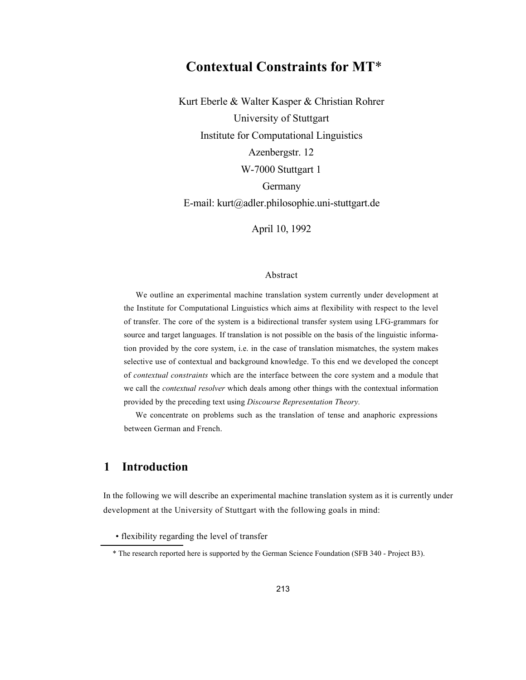# **Contextual Constraints for MT**\*

Kurt Eberle & Walter Kasper & Christian Rohrer University of Stuttgart Institute for Computational Linguistics Azenbergstr. 12 W-7000 Stuttgart 1 Germany E-mail: kurt@adler.philosophie.uni-stuttgart.de

April 10, 1992

#### Abstract

We outline an experimental machine translation system currently under development at the Institute for Computational Linguistics which aims at flexibility with respect to the level of transfer. The core of the system is a bidirectional transfer system using LFG-grammars for source and target languages. If translation is not possible on the basis of the linguistic information provided by the core system, i.e. in the case of translation mismatches, the system makes selective use of contextual and background knowledge. To this end we developed the concept of *contextual constraints* which are the interface between the core system and a module that we call the *contextual resolver* which deals among other things with the contextual information provided by the preceding text using *Discourse Representation Theory.*

We concentrate on problems such as the translation of tense and anaphoric expressions between German and French.

## **1 Introduction**

In the following we will describe an experimental machine translation system as it is currently under development at the University of Stuttgart with the following goals in mind:

• flexibility regarding the level of transfer

<sup>\*</sup> The research reported here is supported by the German Science Foundation (SFB 340 - Project B3).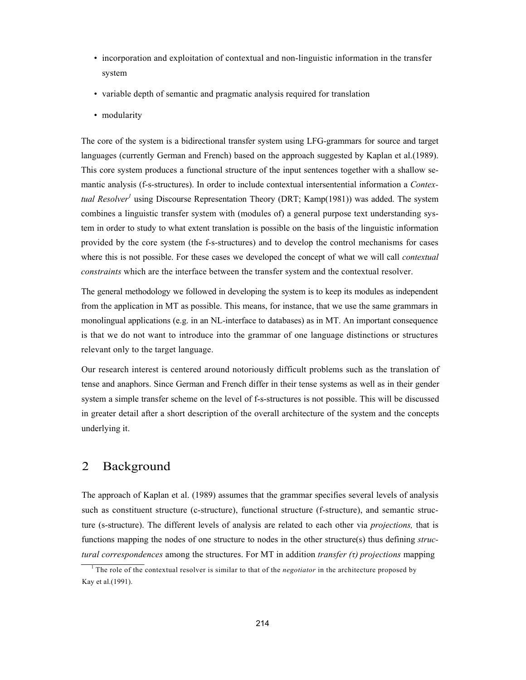- incorporation and exploitation of contextual and non-linguistic information in the transfer system
- variable depth of semantic and pragmatic analysis required for translation
- modularity

The core of the system is a bidirectional transfer system using LFG-grammars for source and target languages (currently German and French) based on the approach suggested by Kaplan et al.(1989). This core system produces a functional structure of the input sentences together with a shallow semantic analysis (f-s-structures). In order to include contextual intersentential information a *Contextual Resolver*<sup>1</sup> using Discourse Representation Theory (DRT; Kamp(1981)) was added. The system combines a linguistic transfer system with (modules of) a general purpose text understanding system in order to study to what extent translation is possible on the basis of the linguistic information provided by the core system (the f-s-structures) and to develop the control mechanisms for cases where this is not possible. For these cases we developed the concept of what we will call *contextual constraints* which are the interface between the transfer system and the contextual resolver.

The general methodology we followed in developing the system is to keep its modules as independent from the application in MT as possible. This means, for instance, that we use the same grammars in monolingual applications (e.g. in an NL-interface to databases) as in MT. An important consequence is that we do not want to introduce into the grammar of one language distinctions or structures relevant only to the target language.

Our research interest is centered around notoriously difficult problems such as the translation of tense and anaphors. Since German and French differ in their tense systems as well as in their gender system a simple transfer scheme on the level of f-s-structures is not possible. This will be discussed in greater detail after a short description of the overall architecture of the system and the concepts underlying it.

### 2 Background

The approach of Kaplan et al. (1989) assumes that the grammar specifies several levels of analysis such as constituent structure (c-structure), functional structure (f-structure), and semantic structure (s-structure). The different levels of analysis are related to each other via *projections,* that is functions mapping the nodes of one structure to nodes in the other structure(s) thus defining *structural correspondences* among the structures. For MT in addition *transfer (τ) projections* mapping

<sup>1</sup> The role of the contextual resolver is similar to that of the *negotiator* in the architecture proposed by Kay et al.(1991).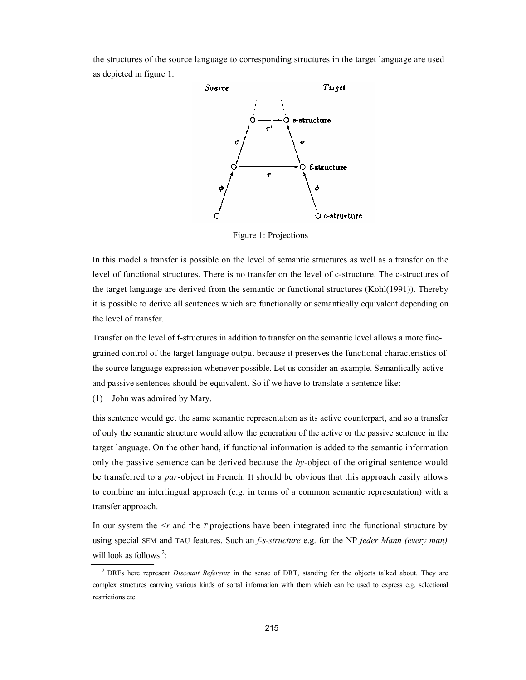the structures of the source language to corresponding structures in the target language are used as depicted in figure 1.



Figure 1: Projections

In this model a transfer is possible on the level of semantic structures as well as a transfer on the level of functional structures. There is no transfer on the level of c-structure. The c-structures of the target language are derived from the semantic or functional structures (Kohl(1991)). Thereby it is possible to derive all sentences which are functionally or semantically equivalent depending on the level of transfer.

Transfer on the level of f-structures in addition to transfer on the semantic level allows a more finegrained control of the target language output because it preserves the functional characteristics of the source language expression whenever possible. Let us consider an example. Semantically active and passive sentences should be equivalent. So if we have to translate a sentence like:

(1) John was admired by Mary.

this sentence would get the same semantic representation as its active counterpart, and so a transfer of only the semantic structure would allow the generation of the active or the passive sentence in the target language. On the other hand, if functional information is added to the semantic information only the passive sentence can be derived because the *by-*object of the original sentence would be transferred to a *par*-object in French. It should be obvious that this approach easily allows to combine an interlingual approach (e.g. in terms of a common semantic representation) with a transfer approach.

In our system the  $\leq r$  and the *T* projections have been integrated into the functional structure by using special SEM and TAU features. Such an *f-s-structure* e.g. for the NP *jeder Mann (every man)*  will look as follows<sup>2</sup>:

<sup>2</sup> DRFs here represent *Discount Referents* in the sense of DRT, standing for the objects talked about. They are complex structures carrying various kinds of sortal information with them which can be used to express e.g. selectional restrictions etc.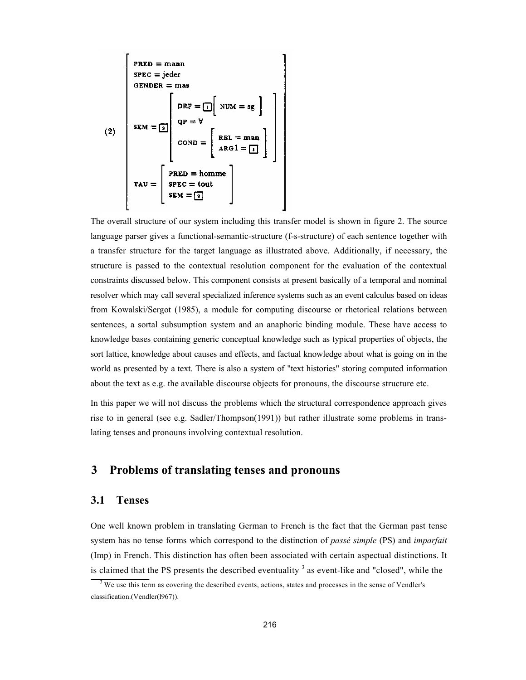$$
\begin{bmatrix}\n\text{PRED} = \text{mann} \\
\text{SPEC} = \text{jeder} \\
\text{GENDER} = \text{mas}\n\end{bmatrix}
$$
\n
$$
(2) \quad\n\begin{bmatrix}\n\text{DRF} = \begin{bmatrix} 1 \end{bmatrix} \text{NUM} = \text{sg} \end{bmatrix}
$$
\n
$$
\text{SEM} = \begin{bmatrix}\n\text{PRF} = \begin{bmatrix} 1 \end{bmatrix} \text{NUM} = \text{sg} \end{bmatrix}
$$
\n
$$
\text{COND} = \begin{bmatrix}\n\text{REL} = \text{man} \\
\text{ARG1} = \begin{bmatrix} 1 \\
1 \\
1\n\end{bmatrix}\n\end{bmatrix}
$$
\n
$$
\text{TAU} = \begin{bmatrix}\n\text{PRED} = \text{homme} \\
\text{SERC} = \text{tout} \\
\text{SEM} = \begin{bmatrix}\n\text{SPEC} = \text{tout} \\
\text{SEM} = \begin{bmatrix}\n\text{SPEC} = \text{tout} \\
\text{SEM} = \begin{bmatrix}\n\text{SPE} + \text{FSE} \\
\text{SEM} = \begin{bmatrix}\n\text{SPE} + \text{FES} \\
\text{SEM} + \text{SSE}\n\end{bmatrix}\n\end{bmatrix}
$$

The overall structure of our system including this transfer model is shown in figure 2. The source language parser gives a functional-semantic-structure (f-s-structure) of each sentence together with a transfer structure for the target language as illustrated above. Additionally, if necessary, the structure is passed to the contextual resolution component for the evaluation of the contextual constraints discussed below. This component consists at present basically of a temporal and nominal resolver which may call several specialized inference systems such as an event calculus based on ideas from Kowalski/Sergot (1985), a module for computing discourse or rhetorical relations between sentences, a sortal subsumption system and an anaphoric binding module. These have access to knowledge bases containing generic conceptual knowledge such as typical properties of objects, the sort lattice, knowledge about causes and effects, and factual knowledge about what is going on in the world as presented by a text. There is also a system of "text histories" storing computed information about the text as e.g. the available discourse objects for pronouns, the discourse structure etc.

In this paper we will not discuss the problems which the structural correspondence approach gives rise to in general (see e.g. Sadler/Thompson(1991)) but rather illustrate some problems in translating tenses and pronouns involving contextual resolution.

# **3 Problems of translating tenses and pronouns**

### **3.1 Tenses**

One well known problem in translating German to French is the fact that the German past tense system has no tense forms which correspond to the distinction of *passé simple* (PS) and *imparfait*  (Imp) in French. This distinction has often been associated with certain aspectual distinctions. It is claimed that the PS presents the described eventuality  $\beta$  as event-like and "closed", while the

 $3$  We use this term as covering the described events, actions, states and processes in the sense of Vendler's classification.(Vendler(l967)).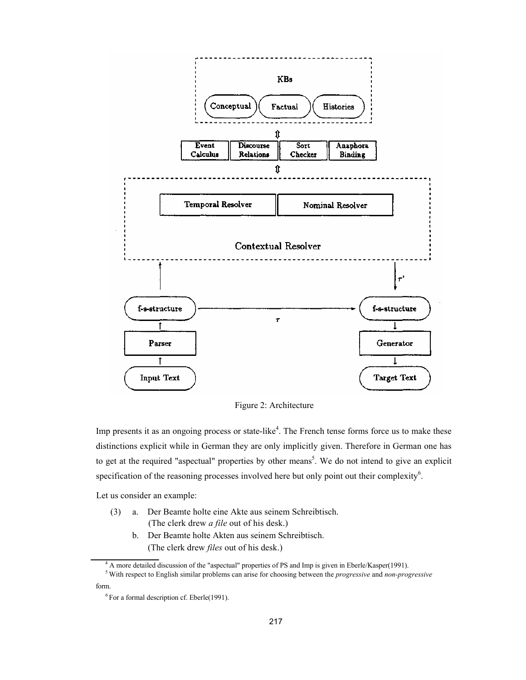

Figure 2: Architecture

Imp presents it as an ongoing process or state-like<sup>4</sup>. The French tense forms force us to make these distinctions explicit while in German they are only implicitly given. Therefore in German one has to get at the required "aspectual" properties by other means<sup>5</sup>. We do not intend to give an explicit specification of the reasoning processes involved here but only point out their complexity $\mathfrak{h}$ .

Let us consider an example:

- (3) a. Der Beamte holte eine Akte aus seinem Schreibtisch. (The clerk drew *a file* out of his desk.)
	- b. Der Beamte holte Akten aus seinem Schreibtisch. (The clerk drew *files* out of his desk.)

<sup>4</sup> A more detailed discussion of the "aspectual" properties of PS and Imp is given in Eberle/Kasper(1991).

form.

<sup>5</sup> With respect to English similar problems can arise for choosing between the *progressive* and *non-progressive*

 $6$  For a formal description cf. Eberle(1991).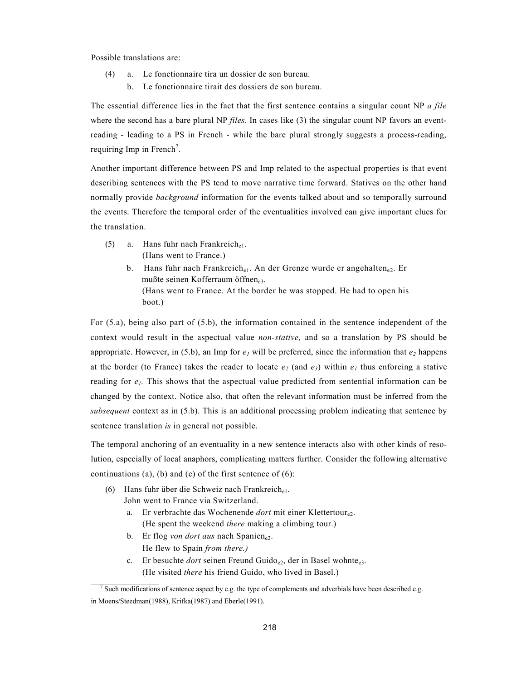Possible translations are:

- (4) a. Le fonctionnaire tira un dossier de son bureau.
	- b. Le fonctionnaire tirait des dossiers de son bureau.

The essential difference lies in the fact that the first sentence contains a singular count NP *a file*  where the second has a bare plural NP *files*. In cases like (3) the singular count NP favors an eventreading - leading to a PS in French - while the bare plural strongly suggests a process-reading, requiring Imp in French<sup>7</sup>.

Another important difference between PS and Imp related to the aspectual properties is that event describing sentences with the PS tend to move narrative time forward. Statives on the other hand normally provide *background* information for the events talked about and so temporally surround the events. Therefore the temporal order of the eventualities involved can give important clues for the translation.

- (5) a. Hans fuhr nach Frankreich $_{e1}$ . (Hans went to France.)
	- b. Hans fuhr nach Frankreich<sub>e1</sub>. An der Grenze wurde er angehalten<sub>e2</sub>. Er mußte seinen Kofferraum öffnene3. (Hans went to France. At the border he was stopped. He had to open his boot.)

For (5.a), being also part of (5.b), the information contained in the sentence independent of the context would result in the aspectual value *non-stative,* and so a translation by PS should be appropriate. However, in (5.b), an Imp for  $e_1$  will be preferred, since the information that  $e_2$  happens at the border (to France) takes the reader to locate  $e_2$  (and  $e_3$ ) within  $e_1$  thus enforcing a stative reading for  $e_1$ . This shows that the aspectual value predicted from sentential information can be changed by the context. Notice also, that often the relevant information must be inferred from the *subsequent* context as in (5.b). This is an additional processing problem indicating that sentence by sentence translation *is* in general not possible.

The temporal anchoring of an eventuality in a new sentence interacts also with other kinds of resolution, especially of local anaphors, complicating matters further. Consider the following alternative continuations (a), (b) and (c) of the first sentence of  $(6)$ :

- (6) Hans fuhr über die Schweiz nach Frankreich $_{e1}$ . John went to France via Switzerland.
	- a. Er verbrachte das Wochenende *dort* mit einer Klettertour<sub>e2</sub>. (He spent the weekend *there* making a climbing tour.)
	- b. Er flog *von dort aus* nach Spanien<sub>e2</sub>. He flew to Spain *from there.)*
	- c. Er besuchte *dort* seinen Freund Guido<sub>e2</sub>, der in Basel wohnte<sub>e3</sub>. (He visited *there* his friend Guido, who lived in Basel.)

<sup>&</sup>lt;sup>7</sup> Such modifications of sentence aspect by e.g. the type of complements and adverbials have been described e.g. in Moens/Steedman(1988), Krifka(1987) and Eberle(1991).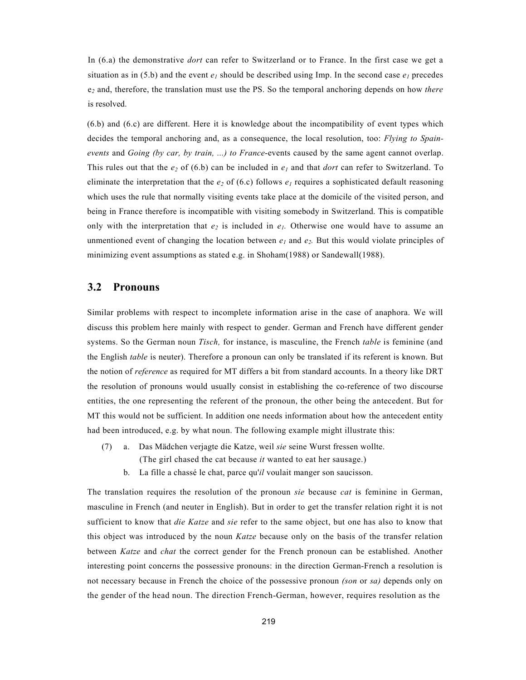In (6.a) the demonstrative *dort* can refer to Switzerland or to France. In the first case we get a situation as in (5.b) and the event  $e_1$  should be described using Imp. In the second case  $e_1$  precedes e*<sup>2</sup>* and, therefore, the translation must use the PS. So the temporal anchoring depends on how *there*  is resolved.

(6.b) and (6.c) are different. Here it is knowledge about the incompatibility of event types which decides the temporal anchoring and, as a consequence, the local resolution, too: *Flying to Spainevents* and *Going (by car, by train, ...) to France*-events caused by the same agent cannot overlap. This rules out that the  $e_2$  of (6.b) can be included in  $e_1$  and that *dort* can refer to Switzerland. To eliminate the interpretation that the  $e_2$  of (6.c) follows  $e_1$  requires a sophisticated default reasoning which uses the rule that normally visiting events take place at the domicile of the visited person, and being in France therefore is incompatible with visiting somebody in Switzerland. This is compatible only with the interpretation that  $e_2$  is included in  $e_1$ . Otherwise one would have to assume an unmentioned event of changing the location between  $e_1$  and  $e_2$ . But this would violate principles of minimizing event assumptions as stated e.g. in Shoham(1988) or Sandewall(1988).

#### **3.2 Pronouns**

Similar problems with respect to incomplete information arise in the case of anaphora. We will discuss this problem here mainly with respect to gender. German and French have different gender systems. So the German noun *Tisch,* for instance, is masculine, the French *table* is feminine (and the English *table* is neuter). Therefore a pronoun can only be translated if its referent is known. But the notion of *reference* as required for MT differs a bit from standard accounts. In a theory like DRT the resolution of pronouns would usually consist in establishing the co-reference of two discourse entities, the one representing the referent of the pronoun, the other being the antecedent. But for MT this would not be sufficient. In addition one needs information about how the antecedent entity had been introduced, e.g. by what noun. The following example might illustrate this:

- (7) a. Das Mädchen verjagte die Katze, weil *sie* seine Wurst fressen wollte. (The girl chased the cat because *it* wanted to eat her sausage.)
	- b. La fille a chassé le chat, parce qu'*il* voulait manger son saucisson.

The translation requires the resolution of the pronoun *sie* because *cat* is feminine in German, masculine in French (and neuter in English). But in order to get the transfer relation right it is not sufficient to know that *die Katze* and *sie* refer to the same object, but one has also to know that this object was introduced by the noun *Katze* because only on the basis of the transfer relation between *Katze* and *chat* the correct gender for the French pronoun can be established. Another interesting point concerns the possessive pronouns: in the direction German-French a resolution is not necessary because in French the choice of the possessive pronoun *(son* or *sa)* depends only on the gender of the head noun. The direction French-German, however, requires resolution as the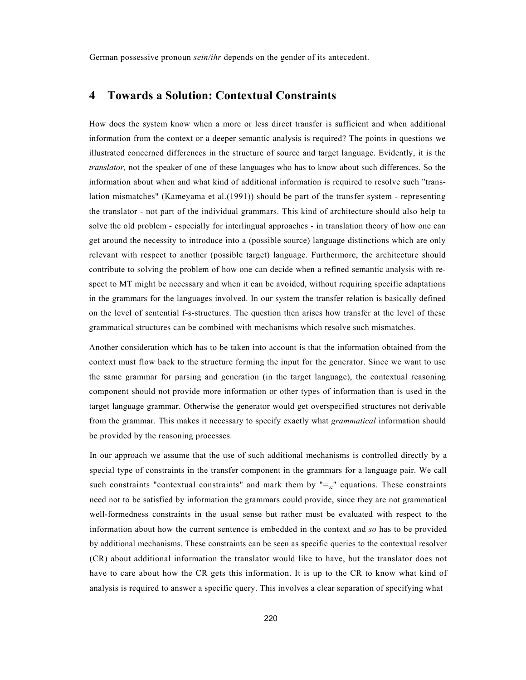German possessive pronoun *sein/ihr* depends on the gender of its antecedent.

### **4 Towards a Solution: Contextual Constraints**

How does the system know when a more or less direct transfer is sufficient and when additional information from the context or a deeper semantic analysis is required? The points in questions we illustrated concerned differences in the structure of source and target language. Evidently, it is the *translator,* not the speaker of one of these languages who has to know about such differences. So the information about when and what kind of additional information is required to resolve such "translation mismatches" (Kameyama et al.(1991)) should be part of the transfer system - representing the translator - not part of the individual grammars. This kind of architecture should also help to solve the old problem - especially for interlingual approaches - in translation theory of how one can get around the necessity to introduce into a (possible source) language distinctions which are only relevant with respect to another (possible target) language. Furthermore, the architecture should contribute to solving the problem of how one can decide when a refined semantic analysis with respect to MT might be necessary and when it can be avoided, without requiring specific adaptations in the grammars for the languages involved. In our system the transfer relation is basically defined on the level of sentential f-s-structures. The question then arises how transfer at the level of these grammatical structures can be combined with mechanisms which resolve such mismatches.

Another consideration which has to be taken into account is that the information obtained from the context must flow back to the structure forming the input for the generator. Since we want to use the same grammar for parsing and generation (in the target language), the contextual reasoning component should not provide more information or other types of information than is used in the target language grammar. Otherwise the generator would get overspecified structures not derivable from the grammar. This makes it necessary to specify exactly what *grammatical* information should be provided by the reasoning processes.

In our approach we assume that the use of such additional mechanisms is controlled directly by a special type of constraints in the transfer component in the grammars for a language pair. We call such constraints "contextual constraints" and mark them by  $" =_{tc}$ " equations. These constraints need not to be satisfied by information the grammars could provide, since they are not grammatical well-formedness constraints in the usual sense but rather must be evaluated with respect to the information about how the current sentence is embedded in the context and *so* has to be provided by additional mechanisms. These constraints can be seen as specific queries to the contextual resolver (CR) about additional information the translator would like to have, but the translator does not have to care about how the CR gets this information. It is up to the CR to know what kind of analysis is required to answer a specific query. This involves a clear separation of specifying what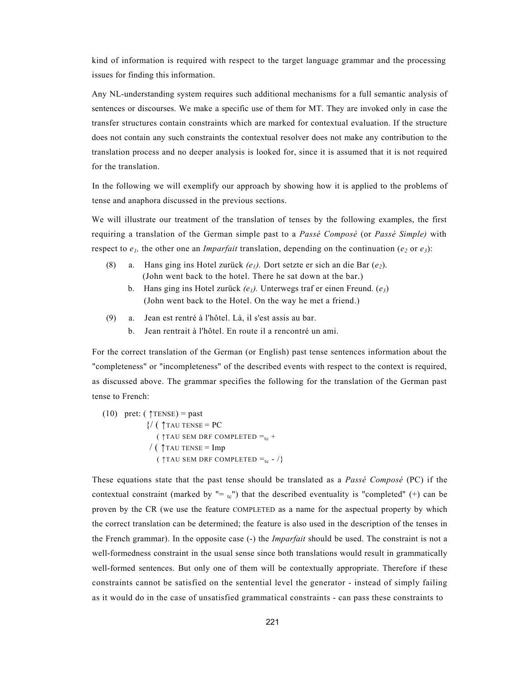kind of information is required with respect to the target language grammar and the processing issues for finding this information.

Any NL-understanding system requires such additional mechanisms for a full semantic analysis of sentences or discourses. We make a specific use of them for MT. They are invoked only in case the transfer structures contain constraints which are marked for contextual evaluation. If the structure does not contain any such constraints the contextual resolver does not make any contribution to the translation process and no deeper analysis is looked for, since it is assumed that it is not required for the translation.

In the following we will exemplify our approach by showing how it is applied to the problems of tense and anaphora discussed in the previous sections.

We will illustrate our treatment of the translation of tenses by the following examples, the first requiring a translation of the German simple past to a *Passé Composé* (or *Passé Simple)* with respect to  $e_1$ , the other one an *Imparfait* translation, depending on the continuation ( $e_2$  or  $e_3$ ):

- (8) a. Hans ging ins Hotel zurück  $(e_1)$ . Dort setzte er sich an die Bar  $(e_2)$ . (John went back to the hotel. There he sat down at the bar.)
	- b. Hans ging ins Hotel zurück *(e1).* Unterwegs traf er einen Freund. (*e3*) (John went back to the Hotel. On the way he met a friend.)
- (9) a. Jean est rentré à l'hôtel. Là, il s'est assis au bar.
	- b. Jean rentrait à l'hôtel. En route il a rencontré un ami.

For the correct translation of the German (or English) past tense sentences information about the "completeness" or "incompleteness" of the described events with respect to the context is required, as discussed above. The grammar specifies the following for the translation of the German past tense to French:

(10) pret: 
$$
(\uparrow
$$
TENSE) = past  
\n{/(  $\uparrow$ TAU TENSE = PC  
\n( $\uparrow$ TAU SEM DRF COMPLETED =<sub>tc</sub> +  
\n/ ( $\uparrow$ TAU TENSE = Imp  
\n( $\uparrow$ TAU SEM DRF COMPLETED =<sub>tc</sub> - /}

These equations state that the past tense should be translated as a *Passé Composé* (PC) if the contextual constraint (marked by  $" = _{tc}"$ ) that the described eventuality is "completed" (+) can be proven by the CR (we use the feature COMPLETED as a name for the aspectual property by which the correct translation can be determined; the feature is also used in the description of the tenses in the French grammar). In the opposite case (-) the *Imparfait* should be used. The constraint is not a well-formedness constraint in the usual sense since both translations would result in grammatically well-formed sentences. But only one of them will be contextually appropriate. Therefore if these constraints cannot be satisfied on the sentential level the generator - instead of simply failing as it would do in the case of unsatisfied grammatical constraints - can pass these constraints to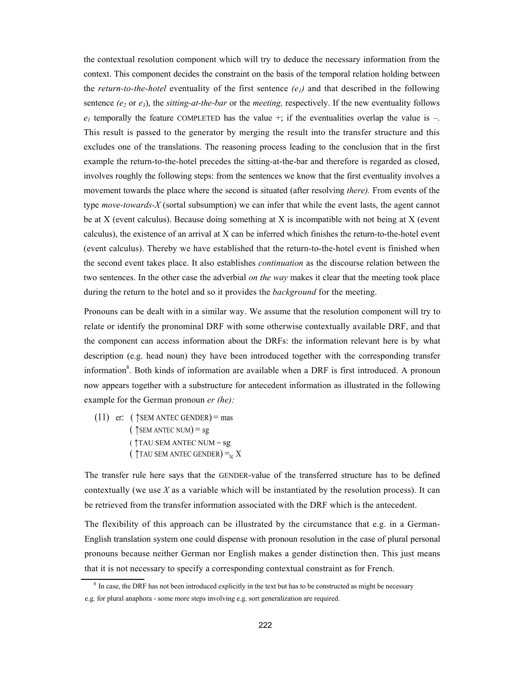the contextual resolution component which will try to deduce the necessary information from the context. This component decides the constraint on the basis of the temporal relation holding between the *return-to-the-hotel* eventuality of the first sentence  $(e_l)$  and that described in the following sentence  $(e_2$  or  $e_3$ ), the *sitting-at-the-bar* or the *meeting*, respectively. If the new eventuality follows  $e_1$  temporally the feature COMPLETED has the value  $+$ ; if the eventualities overlap the value is  $-$ . This result is passed to the generator by merging the result into the transfer structure and this excludes one of the translations. The reasoning process leading to the conclusion that in the first example the return-to-the-hotel precedes the sitting-at-the-bar and therefore is regarded as closed, involves roughly the following steps: from the sentences we know that the first eventuality involves a movement towards the place where the second is situated (after resolving *there).* From events of the type *move-towards-X* (sortal subsumption) we can infer that while the event lasts, the agent cannot be at X (event calculus). Because doing something at X is incompatible with not being at X (event calculus), the existence of an arrival at X can be inferred which finishes the return-to-the-hotel event (event calculus). Thereby we have established that the return-to-the-hotel event is finished when the second event takes place. It also establishes *continuation* as the discourse relation between the two sentences. In the other case the adverbial *on the way* makes it clear that the meeting took place during the return to the hotel and so it provides the *background* for the meeting.

Pronouns can be dealt with in a similar way. We assume that the resolution component will try to relate or identify the pronominal DRF with some otherwise contextually available DRF, and that the component can access information about the DRFs: the information relevant here is by what description (e.g. head noun) they have been introduced together with the corresponding transfer information<sup>8</sup>. Both kinds of information are available when a DRF is first introduced. A pronoun now appears together with a substructure for antecedent information as illustrated in the following example for the German pronoun *er (he):*

 $(11)$  er:  $($   $\uparrow$  SEM ANTEC GENDER) = mas  $($   $\uparrow$  SEM ANTEC NUM $)$  = sg  $($   $\uparrow$  TAU SEM ANTEC NUM = sg (  $\uparrow$  TAU SEM ANTEC GENDER) = t<sub>c</sub> X

The transfer rule here says that the GENDER-value of the transferred structure has to be defined contextually (we use *X* as a variable which will be instantiated by the resolution process). It can be retrieved from the transfer information associated with the DRF which is the antecedent.

The flexibility of this approach can be illustrated by the circumstance that e.g. in a German-English translation system one could dispense with pronoun resolution in the case of plural personal pronouns because neither German nor English makes a gender distinction then. This just means that it is not necessary to specify a corresponding contextual constraint as for French.

<sup>&</sup>lt;sup>8</sup> In case, the DRF has not been introduced explicitly in the text but has to be constructed as might be necessary

e.g. for plural anaphora - some more steps involving e.g. sort generalization are required.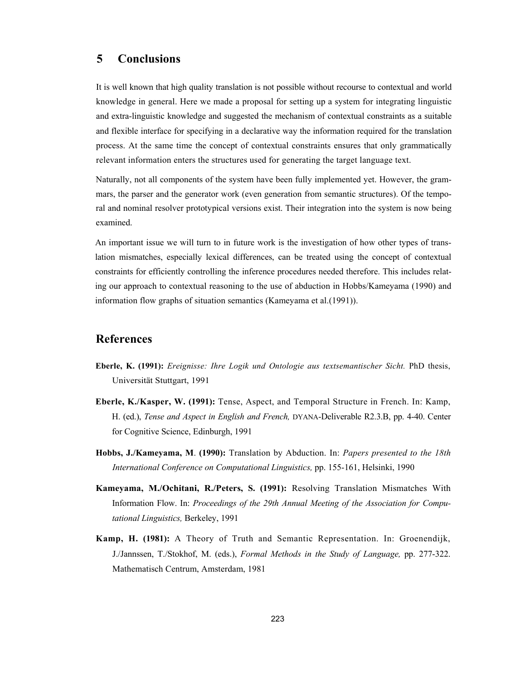# **5 Conclusions**

It is well known that high quality translation is not possible without recourse to contextual and world knowledge in general. Here we made a proposal for setting up a system for integrating linguistic and extra-linguistic knowledge and suggested the mechanism of contextual constraints as a suitable and flexible interface for specifying in a declarative way the information required for the translation process. At the same time the concept of contextual constraints ensures that only grammatically relevant information enters the structures used for generating the target language text.

Naturally, not all components of the system have been fully implemented yet. However, the grammars, the parser and the generator work (even generation from semantic structures). Of the temporal and nominal resolver prototypical versions exist. Their integration into the system is now being examined.

An important issue we will turn to in future work is the investigation of how other types of translation mismatches, especially lexical differences, can be treated using the concept of contextual constraints for efficiently controlling the inference procedures needed therefore. This includes relating our approach to contextual reasoning to the use of abduction in Hobbs/Kameyama (1990) and information flow graphs of situation semantics (Kameyama et al.(1991)).

### **References**

- **Eberle, K. (1991):** *Ereignisse: Ihre Logik und Ontologie aus textsemantischer Sicht.* PhD thesis, Universität Stuttgart, 1991
- **Eberle, K./Kasper, W. (1991):** Tense, Aspect, and Temporal Structure in French. In: Kamp, H. (ed.), *Tense and Aspect in English and French,* DYANA-Deliverable R2.3.B, pp. 4-40. Center for Cognitive Science, Edinburgh, 1991
- **Hobbs, J./Kameyama, M**. **(1990):** Translation by Abduction. In: *Papers presented to the 18th International Conference on Computational Linguistics,* pp. 155-161, Helsinki, 1990
- **Kameyama, M./Ochitani, R./Peters, S. (1991):** Resolving Translation Mismatches With Information Flow. In: *Proceedings of the 29th Annual Meeting of the Association for Computational Linguistics,* Berkeley, 1991
- **Kamp, H. (1981):** A Theory of Truth and Semantic Representation. In: Groenendijk, J./Jannssen, T./Stokhof, M. (eds.), *Formal Methods in the Study of Language,* pp. 277-322. Mathematisch Centrum, Amsterdam, 1981